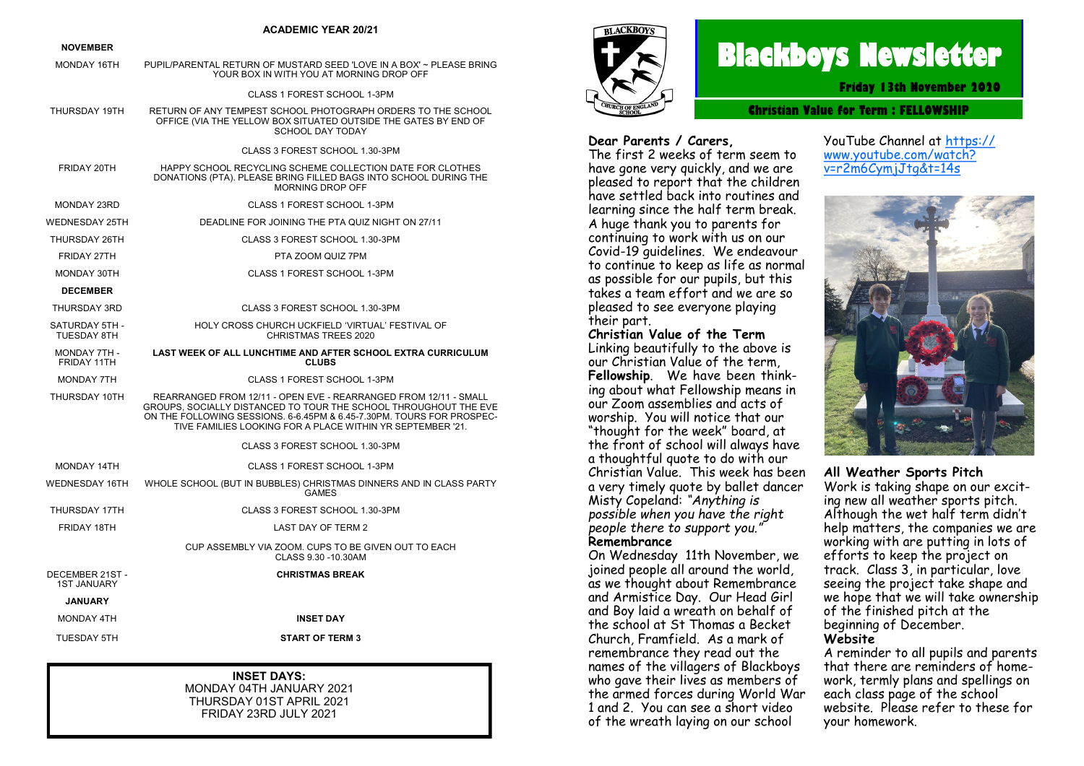|                                       | <b>ACADEMIC YEAR 20/21</b>                                                                                                                                                                                                                                                  |
|---------------------------------------|-----------------------------------------------------------------------------------------------------------------------------------------------------------------------------------------------------------------------------------------------------------------------------|
| <b>NOVEMBER</b>                       |                                                                                                                                                                                                                                                                             |
| MONDAY 16TH                           | PUPIL/PARENTAL RETURN OF MUSTARD SEED 'LOVE IN A BOX' ~ PLEASE BRING<br>YOUR BOX IN WITH YOU AT MORNING DROP OFF                                                                                                                                                            |
|                                       | CLASS 1 FOREST SCHOOL 1-3PM                                                                                                                                                                                                                                                 |
| THURSDAY 19TH                         | RETURN OF ANY TEMPEST SCHOOL PHOTOGRAPH ORDERS TO THE SCHOOL<br>OFFICE (VIA THE YELLOW BOX SITUATED OUTSIDE THE GATES BY END OF<br><b>SCHOOL DAY TODAY</b>                                                                                                                  |
|                                       | CLASS 3 FOREST SCHOOL 1.30-3PM                                                                                                                                                                                                                                              |
| FRIDAY 20TH                           | HAPPY SCHOOL RECYCLING SCHEME COLLECTION DATE FOR CLOTHES<br>DONATIONS (PTA). PLEASE BRING FILLED BAGS INTO SCHOOL DURING THE<br>MORNING DROP OFF                                                                                                                           |
| <b>MONDAY 23RD</b>                    | CLASS 1 FOREST SCHOOL 1-3PM                                                                                                                                                                                                                                                 |
| <b>WEDNESDAY 25TH</b>                 | DEADLINE FOR JOINING THE PTA QUIZ NIGHT ON 27/11                                                                                                                                                                                                                            |
| THURSDAY 26TH                         | CLASS 3 FOREST SCHOOL 1.30-3PM                                                                                                                                                                                                                                              |
| FRIDAY 27TH                           | PTA ZOOM QUIZ 7PM                                                                                                                                                                                                                                                           |
| MONDAY 30TH                           | CLASS 1 FOREST SCHOOL 1-3PM                                                                                                                                                                                                                                                 |
| <b>DECEMBER</b>                       |                                                                                                                                                                                                                                                                             |
| THURSDAY 3RD                          | CLASS 3 FOREST SCHOOL 1.30-3PM                                                                                                                                                                                                                                              |
| SATURDAY 5TH -<br><b>TUESDAY 8TH</b>  | HOLY CROSS CHURCH UCKFIELD 'VIRTUAL' FESTIVAL OF<br><b>CHRISTMAS TREES 2020</b>                                                                                                                                                                                             |
| MONDAY 7TH -<br>FRIDAY 11TH           | <b>LAST WEEK OF ALL LUNCHTIME AND AFTER SCHOOL EXTRA CURRICULUM</b><br><b>CLUBS</b>                                                                                                                                                                                         |
| <b>MONDAY 7TH</b>                     | CLASS 1 FOREST SCHOOL 1-3PM                                                                                                                                                                                                                                                 |
| THURSDAY 10TH                         | REARRANGED FROM 12/11 - OPEN EVE - REARRANGED FROM 12/11 - SMALL<br>GROUPS, SOCIALLY DISTANCED TO TOUR THE SCHOOL THROUGHOUT THE EVE<br>ON THE FOLLOWING SESSIONS. 6-6.45PM & 6.45-7.30PM. TOURS FOR PROSPEC-<br>TIVE FAMILIES LOOKING FOR A PLACE WITHIN YR SEPTEMBER '21. |
|                                       | CLASS 3 FOREST SCHOOL 1.30-3PM                                                                                                                                                                                                                                              |
| <b>MONDAY 14TH</b>                    | CLASS 1 FOREST SCHOOL 1-3PM                                                                                                                                                                                                                                                 |
| <b>WEDNESDAY 16TH</b>                 | WHOLE SCHOOL (BUT IN BUBBLES) CHRISTMAS DINNERS AND IN CLASS PARTY<br><b>GAMES</b>                                                                                                                                                                                          |
| THURSDAY 17TH                         | CLASS 3 FOREST SCHOOL 1.30-3PM                                                                                                                                                                                                                                              |
| FRIDAY 18TH                           | LAST DAY OF TERM 2                                                                                                                                                                                                                                                          |
|                                       | CUP ASSEMBLY VIA ZOOM. CUPS TO BE GIVEN OUT TO EACH<br>CLASS 9.30 -10.30AM                                                                                                                                                                                                  |
| DECEMBER 21ST -<br><b>1ST JANUARY</b> | <b>CHRISTMAS BREAK</b>                                                                                                                                                                                                                                                      |
| <b>JANUARY</b>                        |                                                                                                                                                                                                                                                                             |
| <b>MONDAY 4TH</b>                     | <b>INSET DAY</b>                                                                                                                                                                                                                                                            |
| <b>TUESDAY 5TH</b>                    | <b>START OF TERM 3</b>                                                                                                                                                                                                                                                      |

#### **INSET DAYS:**

MONDAY 04TH JANUARY 2021 THURSDAY 01ST APRIL 2021 FRIDAY 23RD JULY 2021



# **Blackboys Newsletter**

**Friday 13th November 2020**

**Christian Value for Term : [FELLOWSHIP](https://www.google.co.uk/search?safe=strict&q=Perseverance&spell=1&sa=X&ved=0ahUKEwjdufaq38vdAhUHIsAKHUx5DOMQkeECCCgoAA)**

#### **Dear Parents / Carers,**

The first 2 weeks of term seem to have gone very quickly, and we are pleased to report that the children have settled back into routines and learning since the half term break. A huge thank you to parents for continuing to work with us on our Covid-19 quidelines. We endeavour to continue to keep as life as normal as possible for our pupils, but this takes a team effort and we are so pleased to see everyone playing their part.

YouTube Channel at [https://](https://www.youtube.com/watch?v=r2m6CymjJtg&t=14s) [www.youtube.com/watch?](https://www.youtube.com/watch?v=r2m6CymjJtg&t=14s) [v=r2m6CymjJtg&t=14s](https://www.youtube.com/watch?v=r2m6CymjJtg&t=14s)



#### **All Weather Sports Pitch**

Work is taking shape on our exciting new all weather sports pitch. Although the wet half term didn't help matters, the companies we are working with are putting in lots of efforts to keep the project on track. Class 3, in particular, love seeing the project take shape and we hope that we will take ownership of the finished pitch at the beginning of December. **Website**

A reminder to all pupils and parents that there are reminders of homework, termly plans and spellings on each class page of the school website. Please refer to these for your homework.

#### our Christian Value of the term, **Fellowship**. We have been think-

**Christian Value of the Term** Linking beautifully to the above is

ing about what Fellowship means in our Zoom assemblies and acts of worship. You will notice that our "thought for the week" board, at the front of school will always have a thoughtful quote to do with our Christian Value. This week has been a very timely quote by ballet dancer Misty Copeland: *"Anything is possible when you have the right people there to support you."*

#### **Remembrance**

On Wednesday 11th November, we joined people all around the world, as we thought about Remembrance and Armistice Day. Our Head Girl and Boy laid a wreath on behalf of the school at St Thomas a Becket Church, Framfield. As a mark of remembrance they read out the names of the villagers of Blackboys who gave their lives as members of the armed forces during World War 1 and 2. You can see a short video of the wreath laying on our school